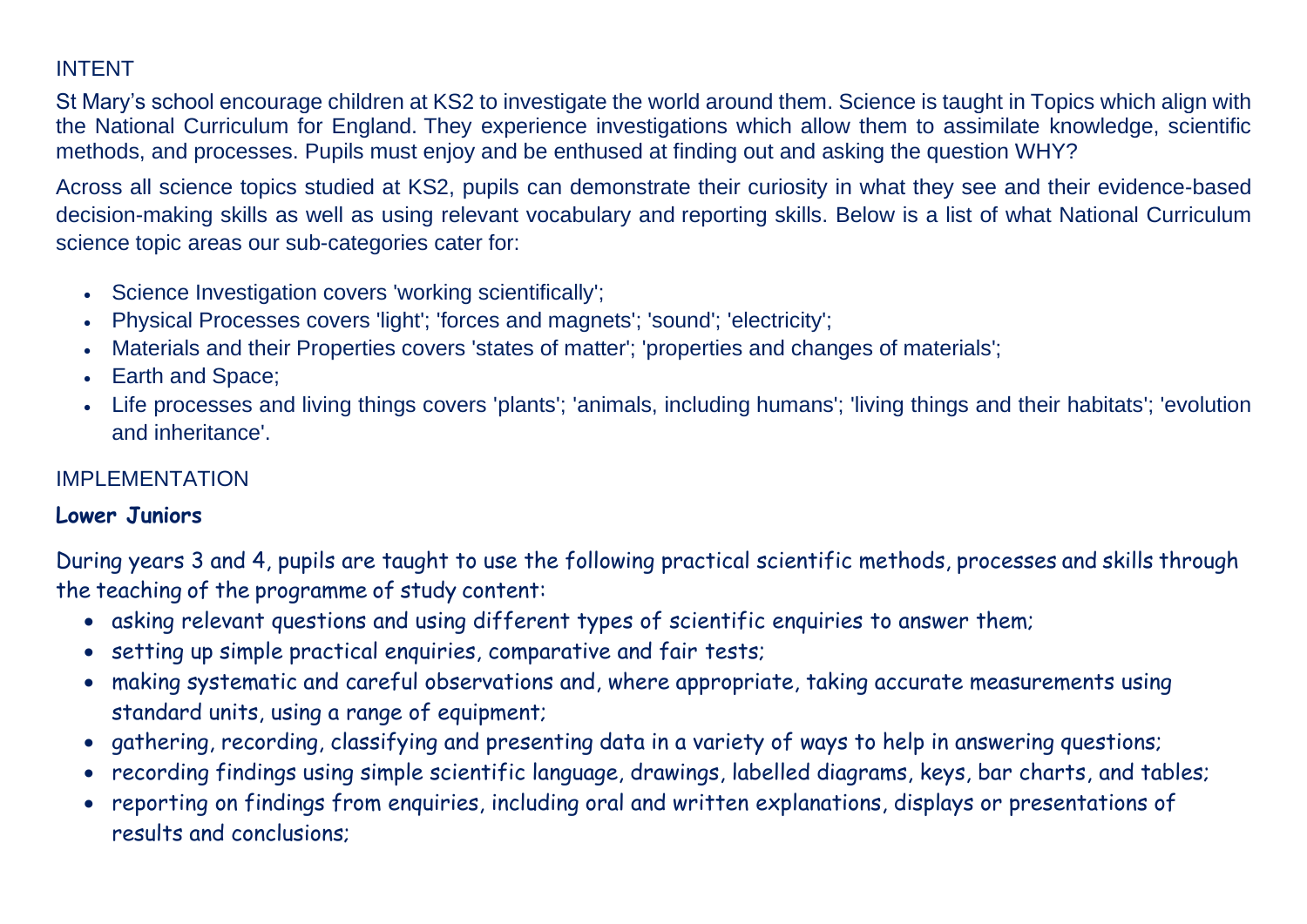## INTENT

St Mary's school encourage children at KS2 to investigate the world around them. Science is taught in Topics which align with the National Curriculum for England. They experience investigations which allow them to assimilate knowledge, scientific methods, and processes. Pupils must enjoy and be enthused at finding out and asking the question WHY?

Across all science topics studied at KS2, pupils can demonstrate their curiosity in what they see and their evidence-based decision-making skills as well as using relevant vocabulary and [reporting skills.](https://www.twinkl.co.uk/resource/t2-s-089-science-investigation-planners) Below is a list of what National Curriculum science topic areas our sub-categories cater for:

- Science Investigation covers 'working scientifically';
- Physical Processes covers 'light'; 'forces and magnets'; 'sound'; 'electricity';
- Materials and their Properties covers 'states of matter'; 'properties and changes of materials';
- Earth and Space;
- Life processes and living things covers ['plants'](https://www.twinkl.co.uk/resource/t2-s-418-non-flowering-plant-life-cycle-display-poster); 'animals, including [humans'](https://www.twinkl.co.uk/resource/tp2-s-034-planit-science-year-5-animals-including-humans-lesson-1-human-timeline-lesson-pack); ['living things and their habitats'](https://www.twinkl.co.uk/resource/tp-sc-097-planit-science-y2-animals-including-humans-additional-resources); ['evolution](https://www.twinkl.co.uk/resource/tp2-s-121-new-planit-science-year-6-evolution-and-inheritance-unit-pack)  [and inheritance'](https://www.twinkl.co.uk/resource/tp2-s-121-new-planit-science-year-6-evolution-and-inheritance-unit-pack).

### IMPI FMENTATION

### **Lower Juniors**

During years 3 and 4, pupils are taught to use the following practical scientific methods, processes and skills through the teaching of the programme of study content:

- asking relevant questions and using different types of scientific enquiries to answer them;
- setting up simple practical enquiries, comparative and fair tests;
- making systematic and careful observations and, where appropriate, taking accurate measurements using standard units, using a range of equipment;
- gathering, recording, classifying and presenting data in a variety of ways to help in answering questions;
- recording findings using simple scientific language, drawings, labelled diagrams, keys, bar charts, and tables;
- reporting on findings from enquiries, including oral and written explanations, displays or presentations of results and conclusions;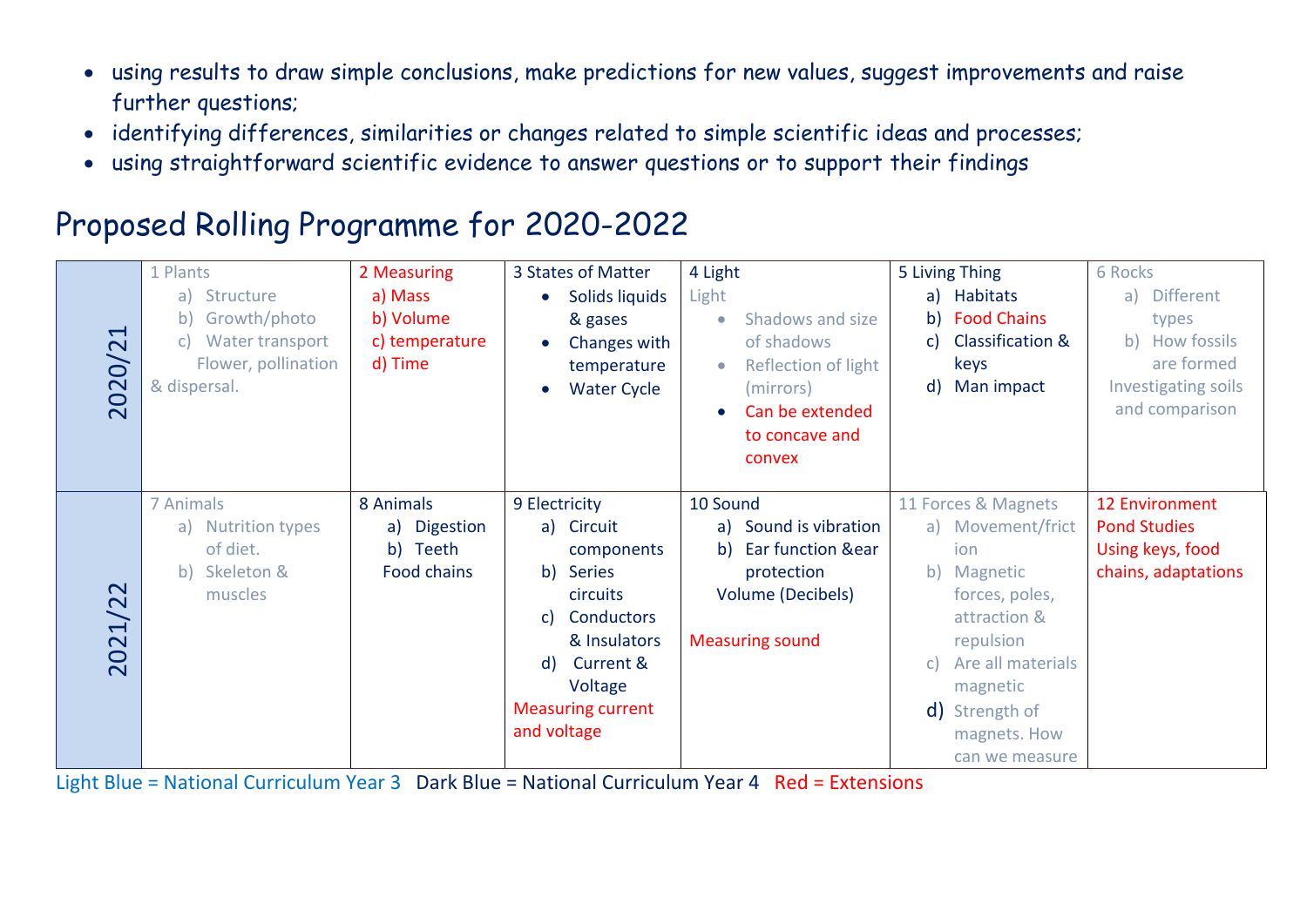- using results to draw simple conclusions, make predictions for new values, suggest improvements and raise further questions;
- identifying differences, similarities or changes related to simple scientific ideas and processes;
- using straightforward scientific evidence to answer questions or to support their findings

# Proposed Rolling Programme for 2020-2022

| $\blacktriangleleft$<br>2020/2  | 1 Plants<br>a) Structure<br>Growth/photo<br>b)<br>Water transport<br>C)<br>Flower, pollination<br>& dispersal. | 2 Measuring<br>a) Mass<br>b) Volume<br>c) temperature<br>d) Time | 3 States of Matter<br>Solids liquids<br>& gases<br>Changes with<br>temperature<br><b>Water Cycle</b>                                                                                                 | 4 Light<br>Light<br>Shadows and size<br>$\bullet$<br>of shadows<br>Reflection of light<br>$\bullet$<br>(mirrors)<br>Can be extended<br>$\bullet$<br>to concave and<br>convex | 5 Living Thing<br>a) Habitats<br>b) Food Chains<br><b>Classification &amp;</b><br>C)<br>keys<br>Man impact<br>$\mathsf{d}$                                                                               | 6 Rocks<br>a) Different<br>types<br>b) How fossils<br>are formed<br>Investigating soils<br>and comparison |
|---------------------------------|----------------------------------------------------------------------------------------------------------------|------------------------------------------------------------------|------------------------------------------------------------------------------------------------------------------------------------------------------------------------------------------------------|------------------------------------------------------------------------------------------------------------------------------------------------------------------------------|----------------------------------------------------------------------------------------------------------------------------------------------------------------------------------------------------------|-----------------------------------------------------------------------------------------------------------|
| $\mathbf{\Omega}$<br>1/2<br>202 | <b>7 Animals</b><br>a) Nutrition types<br>of diet.<br>Skeleton &<br>b)<br>muscles                              | 8 Animals<br>a) Digestion<br>Teeth<br>b)<br>Food chains          | 9 Electricity<br>a) Circuit<br>components<br><b>Series</b><br>b)<br>circuits<br>Conductors<br>C)<br>& Insulators<br><b>Current &amp;</b><br>d)<br>Voltage<br><b>Measuring current</b><br>and voltage | 10 Sound<br>Sound is vibration<br>a)<br><b>Ear function &amp;ear</b><br>b)<br>protection<br><b>Volume (Decibels)</b><br><b>Measuring sound</b>                               | 11 Forces & Magnets<br>a) Movement/frict<br>ion<br>b) Magnetic<br>forces, poles,<br>attraction &<br>repulsion<br>Are all materials<br>C)<br>magnetic<br>d) Strength of<br>magnets. How<br>can we measure | <b>12 Environment</b><br><b>Pond Studies</b><br>Using keys, food<br>chains, adaptations                   |

Light Blue = National Curriculum Year 3 Dark Blue = National Curriculum Year 4 Red = Extensions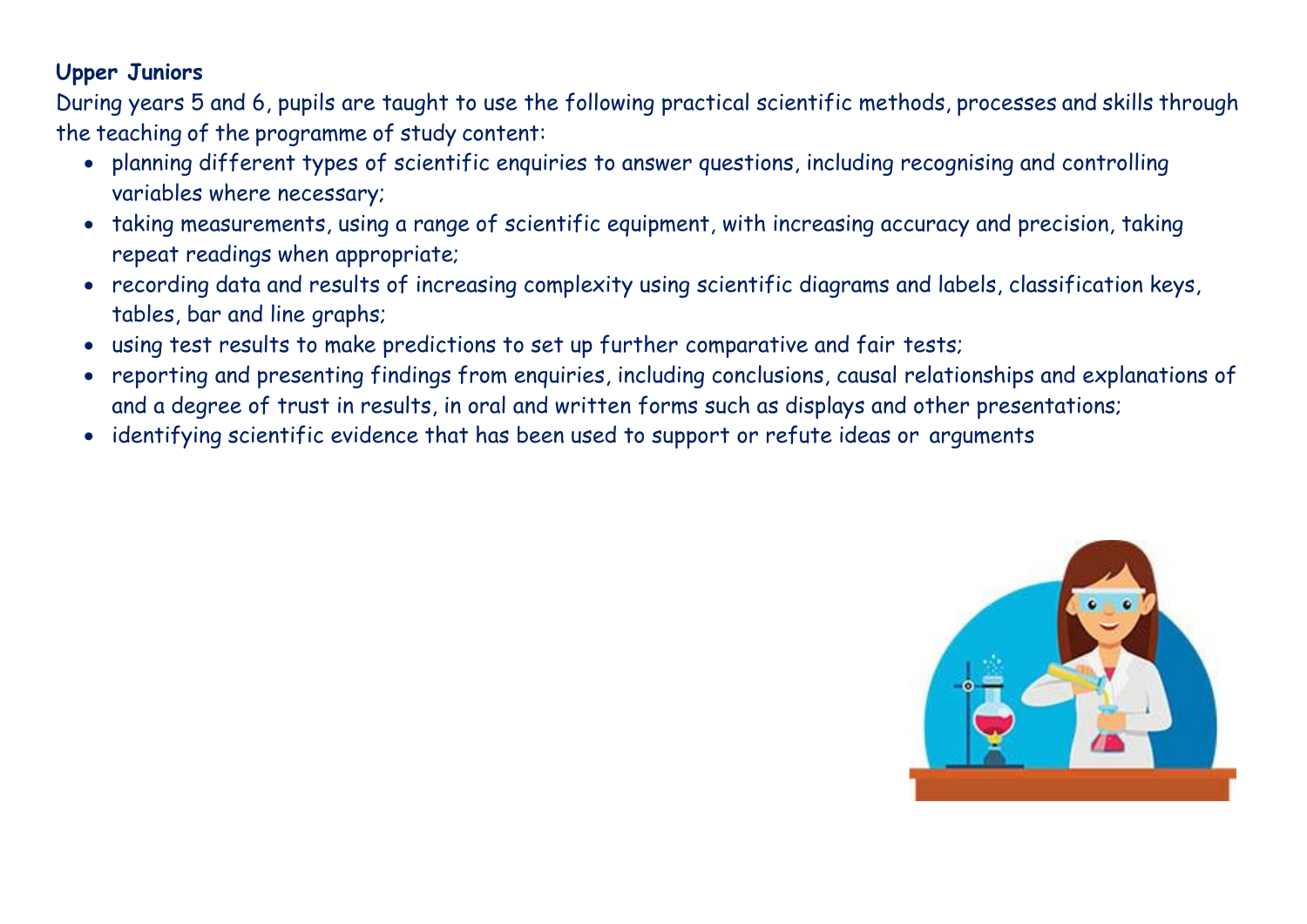### **Upper Juniors**

During years 5 and 6, pupils are taught to use the following practical scientific methods, processes and skills through the teaching of the programme of study content:

- planning different types of scientific enquiries to answer questions, including recognising and controlling variables where necessary;
- taking measurements, using a range of scientific equipment, with increasing accuracy and precision, taking repeat readings when appropriate;
- recording data and results of increasing complexity using scientific diagrams and labels, classification keys, tables, bar and line graphs;
- using test results to make predictions to set up further comparative and fair tests;
- reporting and presenting findings from enquiries, including conclusions, causal relationships and explanations of and a degree of trust in results, in oral and written forms such as displays and other presentations;
- identifying scientific evidence that has been used to support or refute ideas or arguments

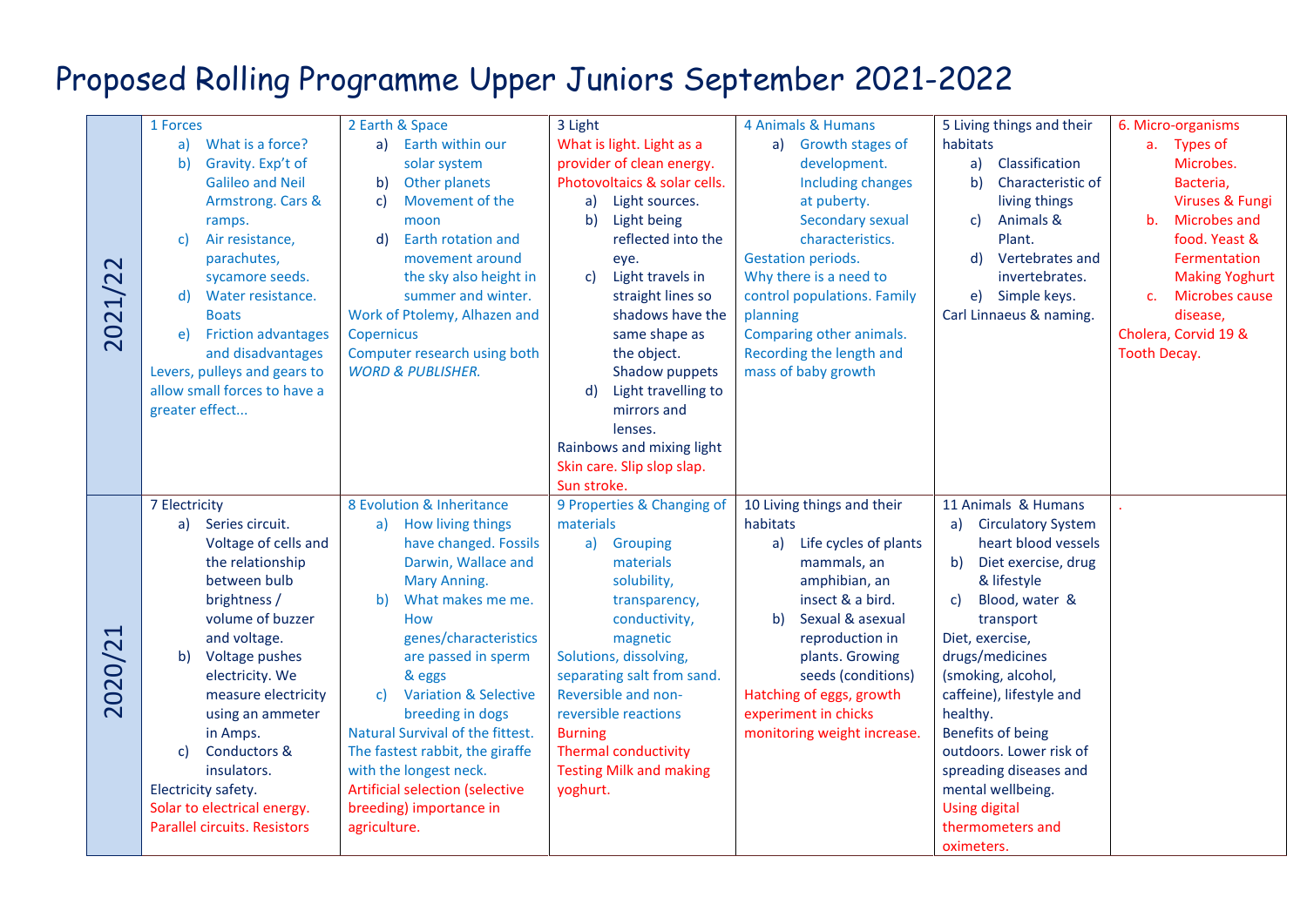# Proposed Rolling Programme Upper Juniors September 2021-2022

|         | 1 Forces                                                                                                                                                                                       |                                                                                                                                                                                                               |                                                                                                                                                                                                                             | 4 Animals & Humans                                                                                                                                                                                           |                                                                                                                                                                                                         |                                                                                                                                                                                                           |
|---------|------------------------------------------------------------------------------------------------------------------------------------------------------------------------------------------------|---------------------------------------------------------------------------------------------------------------------------------------------------------------------------------------------------------------|-----------------------------------------------------------------------------------------------------------------------------------------------------------------------------------------------------------------------------|--------------------------------------------------------------------------------------------------------------------------------------------------------------------------------------------------------------|---------------------------------------------------------------------------------------------------------------------------------------------------------------------------------------------------------|-----------------------------------------------------------------------------------------------------------------------------------------------------------------------------------------------------------|
| 2021/22 | What is a force?<br>a)<br>Gravity. Exp't of<br>b)<br><b>Galileo and Neil</b><br>Armstrong. Cars &<br>ramps.<br>Air resistance,<br>C)<br>parachutes,<br>sycamore seeds.<br>d) Water resistance. | 2 Earth & Space<br>a) Earth within our<br>solar system<br>Other planets<br>b)<br>Movement of the<br>c)<br>moon<br>Earth rotation and<br>d)<br>movement around<br>the sky also height in<br>summer and winter. | 3 Light<br>What is light. Light as a<br>provider of clean energy.<br>Photovoltaics & solar cells.<br>Light sources.<br>a)<br>b)<br>Light being<br>reflected into the<br>eye.<br>Light travels in<br>c)<br>straight lines so | a) Growth stages of<br>development.<br><b>Including changes</b><br>at puberty.<br>Secondary sexual<br>characteristics.<br><b>Gestation periods.</b><br>Why there is a need to<br>control populations. Family | 5 Living things and their<br>habitats<br>Classification<br>a)<br>b)<br>Characteristic of<br>living things<br>Animals &<br>c)<br>Plant.<br>Vertebrates and<br>d)<br>invertebrates.<br>Simple keys.<br>e) | 6. Micro-organisms<br>a. Types of<br>Microbes.<br>Bacteria,<br>Viruses & Fungi<br><b>Microbes and</b><br>b.<br>food. Yeast &<br>Fermentation<br><b>Making Yoghurt</b><br>Microbes cause<br>C <sub>1</sub> |
|         | <b>Boats</b><br><b>Friction advantages</b><br>e)<br>and disadvantages<br>Levers, pulleys and gears to<br>allow small forces to have a<br>greater effect                                        | Work of Ptolemy, Alhazen and<br>Copernicus<br>Computer research using both<br><b>WORD &amp; PUBLISHER.</b>                                                                                                    | shadows have the<br>same shape as<br>the object.<br>Shadow puppets<br>Light travelling to<br>d)<br>mirrors and<br>lenses.<br>Rainbows and mixing light<br>Skin care. Slip slop slap.<br>Sun stroke.                         | planning<br>Comparing other animals.<br>Recording the length and<br>mass of baby growth                                                                                                                      | Carl Linnaeus & naming.                                                                                                                                                                                 | disease,<br>Cholera, Corvid 19 &<br>Tooth Decay.                                                                                                                                                          |
| 2020/21 | 7 Electricity<br>a) Series circuit.                                                                                                                                                            | 8 Evolution & Inheritance<br>How living things<br>a)                                                                                                                                                          | 9 Properties & Changing of<br>materials                                                                                                                                                                                     | 10 Living things and their<br>habitats                                                                                                                                                                       | 11 Animals & Humans<br><b>Circulatory System</b><br>a)                                                                                                                                                  |                                                                                                                                                                                                           |
|         | Voltage of cells and                                                                                                                                                                           | have changed. Fossils                                                                                                                                                                                         | Grouping<br>a)                                                                                                                                                                                                              | a) Life cycles of plants                                                                                                                                                                                     | heart blood vessels                                                                                                                                                                                     |                                                                                                                                                                                                           |
|         | the relationship<br>between bulb                                                                                                                                                               | Darwin, Wallace and<br>Mary Anning.                                                                                                                                                                           | materials<br>solubility,                                                                                                                                                                                                    | mammals, an<br>amphibian, an                                                                                                                                                                                 | Diet exercise, drug<br>b)<br>& lifestyle                                                                                                                                                                |                                                                                                                                                                                                           |
|         | brightness /                                                                                                                                                                                   | What makes me me.<br>b)                                                                                                                                                                                       | transparency,                                                                                                                                                                                                               | insect & a bird.                                                                                                                                                                                             | Blood, water &<br>c)                                                                                                                                                                                    |                                                                                                                                                                                                           |
|         | volume of buzzer<br>and voltage.                                                                                                                                                               | <b>How</b><br>genes/characteristics                                                                                                                                                                           | conductivity,<br>magnetic                                                                                                                                                                                                   | Sexual & asexual<br>b<br>reproduction in                                                                                                                                                                     | transport<br>Diet, exercise,                                                                                                                                                                            |                                                                                                                                                                                                           |
|         | Voltage pushes<br>b)                                                                                                                                                                           | are passed in sperm                                                                                                                                                                                           | Solutions, dissolving,                                                                                                                                                                                                      | plants. Growing                                                                                                                                                                                              | drugs/medicines                                                                                                                                                                                         |                                                                                                                                                                                                           |
|         | electricity. We                                                                                                                                                                                | & eggs                                                                                                                                                                                                        | separating salt from sand.                                                                                                                                                                                                  | seeds (conditions)                                                                                                                                                                                           | (smoking, alcohol,                                                                                                                                                                                      |                                                                                                                                                                                                           |
|         | measure electricity<br>using an ammeter                                                                                                                                                        | <b>Variation &amp; Selective</b><br>c)<br>breeding in dogs                                                                                                                                                    | Reversible and non-<br>reversible reactions                                                                                                                                                                                 | Hatching of eggs, growth<br>experiment in chicks                                                                                                                                                             | caffeine), lifestyle and<br>healthy.                                                                                                                                                                    |                                                                                                                                                                                                           |
|         | in Amps.                                                                                                                                                                                       | Natural Survival of the fittest.                                                                                                                                                                              | <b>Burning</b>                                                                                                                                                                                                              | monitoring weight increase.                                                                                                                                                                                  | Benefits of being                                                                                                                                                                                       |                                                                                                                                                                                                           |
|         | Conductors &<br>c)                                                                                                                                                                             | The fastest rabbit, the giraffe                                                                                                                                                                               | <b>Thermal conductivity</b>                                                                                                                                                                                                 |                                                                                                                                                                                                              | outdoors. Lower risk of                                                                                                                                                                                 |                                                                                                                                                                                                           |
|         | insulators.<br>Electricity safety.                                                                                                                                                             | with the longest neck.<br><b>Artificial selection (selective</b>                                                                                                                                              | <b>Testing Milk and making</b><br>yoghurt.                                                                                                                                                                                  |                                                                                                                                                                                                              | spreading diseases and<br>mental wellbeing.                                                                                                                                                             |                                                                                                                                                                                                           |
|         | Solar to electrical energy.                                                                                                                                                                    | breeding) importance in                                                                                                                                                                                       |                                                                                                                                                                                                                             |                                                                                                                                                                                                              | <b>Using digital</b>                                                                                                                                                                                    |                                                                                                                                                                                                           |
|         | Parallel circuits. Resistors                                                                                                                                                                   | agriculture.                                                                                                                                                                                                  |                                                                                                                                                                                                                             |                                                                                                                                                                                                              | thermometers and                                                                                                                                                                                        |                                                                                                                                                                                                           |
|         |                                                                                                                                                                                                |                                                                                                                                                                                                               |                                                                                                                                                                                                                             |                                                                                                                                                                                                              | oximeters.                                                                                                                                                                                              |                                                                                                                                                                                                           |